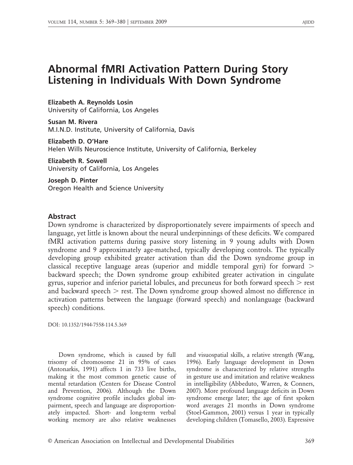# Abnormal fMRI Activation Pattern During Story Listening in Individuals With Down Syndrome

Elizabeth A. Reynolds Losin

University of California, Los Angeles

Susan M. Rivera M.I.N.D. Institute, University of California, Davis

Elizabeth D. O'Hare Helen Wills Neuroscience Institute, University of California, Berkeley

Elizabeth R. Sowell University of California, Los Angeles

Joseph D. Pinter Oregon Health and Science University

## Abstract

Down syndrome is characterized by disproportionately severe impairments of speech and language, yet little is known about the neural underpinnings of these deficits. We compared fMRI activation patterns during passive story listening in 9 young adults with Down syndrome and 9 approximately age-matched, typically developing controls. The typically developing group exhibited greater activation than did the Down syndrome group in classical receptive language areas (superior and middle temporal gyri) for forward  $>$ backward speech; the Down syndrome group exhibited greater activation in cingulate gyrus, superior and inferior parietal lobules, and precuneus for both forward speech  $>$  rest and backward speech  $>$  rest. The Down syndrome group showed almost no difference in activation patterns between the language (forward speech) and nonlanguage (backward speech) conditions.

DOI: 10.1352/1944-7558-114.5.369

Down syndrome, which is caused by full trisomy of chromosome 21 in 95% of cases (Antonarkis, 1991) affects 1 in 733 live births, making it the most common genetic cause of mental retardation (Centers for Disease Control and Prevention, 2006). Although the Down syndrome cognitive profile includes global impairment, speech and language are disproportionately impacted. Short- and long-term verbal working memory are also relative weaknesses

and visuospatial skills, a relative strength (Wang, 1996). Early language development in Down syndrome is characterized by relative strengths in gesture use and imitation and relative weakness in intelligibility (Abbeduto, Warren, & Conners, 2007). More profound language deficits in Down syndrome emerge later; the age of first spoken word averages 21 months in Down syndrome (Stoel-Gammon, 2001) versus 1 year in typically developing children (Tomasello, 2003). Expressive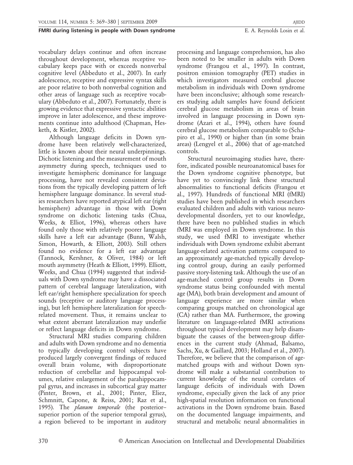vocabulary delays continue and often increase throughout development, whereas receptive vocabulary keeps pace with or exceeds nonverbal cognitive level (Abbeduto et al., 2007). In early adolescence, receptive and expressive syntax skills are poor relative to both nonverbal cognition and other areas of language such as receptive vocabulary (Abbeduto et al., 2007). Fortunately, there is growing evidence that expressive syntactic abilities improve in later adolescence, and these improvements continue into adulthood (Chapman, Hesketh, & Kistler, 2002).

Although language deficits in Down syndrome have been relatively well-characterized, little is known about their neural underpinnings. Dichotic listening and the measurement of mouth asymmetry during speech, techniques used to investigate hemispheric dominance for language processing, have not revealed consistent deviations from the typically developing pattern of left hemisphere language dominance. In several studies researchers have reported atypical left ear (right hemisphere) advantage in those with Down syndrome on dichotic listening tasks (Chua, Weeks, & Elliot, 1996), whereas others have found only those with relatively poorer language skills have a left ear advantage (Bunn, Walsh, Simon, Howarth, & Elliott, 2003). Still others found no evidence for a left ear advantage (Tannock, Kershner, & Oliver, 1984) or left mouth asymmetry (Heath & Elliott, 1999). Elliott, Weeks, and Chua (1994) suggested that individuals with Down syndrome may have a dissociated pattern of cerebral language lateralization, with left ear/right hemisphere specialization for speech sounds (receptive or auditory language processing), but left hemisphere lateralization for speechrelated movement. Thus, it remains unclear to what extent aberrant lateralization may underlie or reflect language deficits in Down syndrome.

Structural MRI studies comparing children and adults with Down syndrome and no dementia to typically developing control subjects have produced largely convergent findings of reduced overall brain volume, with disproportionate reduction of cerebellar and hippocampal volumes, relative enlargement of the parahippocampal gyrus, and increases in subcortical gray matter (Pinter, Brown, et al., 2001; Pinter, Eliez, Schmnitt, Capone, & Reiss, 2001; Raz et al., 1995). The *planum temporale* (the posterior– superior portion of the superior temporal gyrus), a region believed to be important in auditory

processing and language comprehension, has also been noted to be smaller in adults with Down syndrome (Frangou et al., 1997). In contrast, positron emission tomography (PET) studies in which investigators measured cerebral glucose metabolism in individuals with Down syndrome have been inconclusive; although some researchers studying adult samples have found deficient cerebral glucose metabolism in areas of brain involved in language processing in Down syndrome (Azari et al., 1994), others have found cerebral glucose metabolism comparable to (Schapiro et al., 1990) or higher than (in some brain areas) (Lengyel et al., 2006) that of age-matched controls.

Structural neuroimaging studies have, therefore, indicated possible neuroanatomical bases for the Down syndrome cognitive phenotype, but have yet to convincingly link these structural abnormalities to functional deficits (Frangou et al., 1997). Hundreds of functional MRI (fMRI) studies have been published in which researchers evaluated children and adults with various neurodevelopmental disorders, yet to our knowledge, there have been no published studies in which fMRI was employed in Down syndrome. In this study, we used fMRI to investigate whether individuals with Down syndrome exhibit aberrant language-related activation patterns compared to an approximately age-matched typically developing control group, during an easily performed passive story-listening task. Although the use of an age-matched control group results in Down syndrome status being confounded with mental age (MA), both brain development and amount of language experience are more similar when comparing groups matched on chronological age (CA) rather than MA. Furthermore, the growing literature on language-related fMRI activations throughout typical development may help disambiguate the causes of the between-group differences in the current study (Ahmad, Balsamo, Sachs, Xu, & Gaillard, 2003; Holland et al., 2007). Therefore, we believe that the comparison of agematched groups with and without Down syndrome will make a substantial contribution to current knowledge of the neural correlates of language deficits of individuals with Down syndrome, especially given the lack of any prior high-spatial resolution information on functional activations in the Down syndrome brain. Based on the documented language impairments, and structural and metabolic neural abnormalities in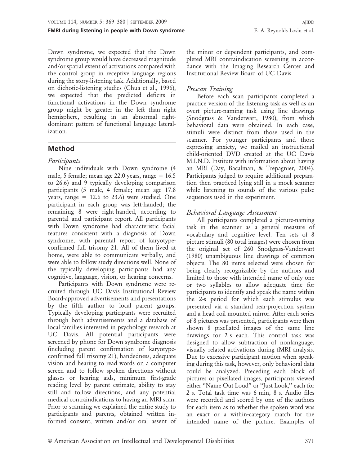Down syndrome, we expected that the Down syndrome group would have decreased magnitude and/or spatial extent of activations compared with the control group in receptive language regions during the story-listening task. Additionally, based on dichotic-listening studies (Chua et al., 1996), we expected that the predicted deficits in functional activations in the Down syndrome group might be greater in the left than right hemisphere, resulting in an abnormal rightdominant pattern of functional language lateralization.

# Method

# Participants

Nine individuals with Down syndrome (4 male, 5 female; mean age 22.0 years, range  $= 16.5$ to 26.6) and 9 typically developing comparison participants (5 male, 4 female; mean age 17.8 years, range  $= 12.6$  to 23.6) were studied. One participant in each group was left-handed; the remaining 8 were right-handed, according to parental and participant report. All participants with Down syndrome had characteristic facial features consistent with a diagnosis of Down syndrome, with parental report of karyotypeconfirmed full trisomy 21. All of them lived at home, were able to communicate verbally, and were able to follow study directions well. None of the typically developing participants had any cognitive, language, vision, or hearing concerns.

Participants with Down syndrome were recruited through UC Davis Institutional Review Board-approved advertisements and presentations by the fifth author to local parent groups. Typically developing participants were recruited through both advertisements and a database of local families interested in psychology research at UC Davis. All potential participants were screened by phone for Down syndrome diagnosis (including parent confirmation of karyotypeconfirmed full trisomy 21), handedness, adequate vision and hearing to read words on a computer screen and to follow spoken directions without glasses or hearing aids, minimum first-grade reading level by parent estimate, ability to stay still and follow directions, and any potential medical contraindications to having an MRI scan. Prior to scanning we explained the entire study to participants and parents, obtained written informed consent, written and/or oral assent of the minor or dependent participants, and completed MRI contraindication screening in accordance with the Imaging Research Center and Institutional Review Board of UC Davis.

# Prescan Training

Before each scan participants completed a practice version of the listening task as well as an overt picture-naming task using line drawings (Snodgrass & Vanderwart, 1980), from which behavioral data were obtained. In each case, stimuli were distinct from those used in the scanner. For younger participants and those expressing anxiety, we mailed an instructional child-oriented DVD created at the UC Davis M.I.N.D. Institute with information about having an MRI (Day, Bacalman, & Trepagnier, 2004). Participants judged to require additional preparation then practiced lying still in a mock scanner while listening to sounds of the various pulse sequences used in the experiment.

# Behavioral Language Assessment

All participants completed a picture-naming task in the scanner as a general measure of vocabulary and cognitive level. Ten sets of 8 picture stimuli (80 total images) were chosen from the original set of 260 Snodgrass-Vanderwart (1980) unambiguous line drawings of common objects. The 80 items selected were chosen for being clearly recognizable by the authors and limited to those with intended name of only one or two syllables to allow adequate time for participants to identify and speak the name within the 2-s period for which each stimulus was presented via a standard rear-projection system and a head-coil-mounted mirror. After each series of 8 pictures was presented, participants were then shown 8 pixellated images of the same line drawings for 2 s each. This control task was designed to allow subtraction of nonlanguage, visually related activations during fMRI analysis. Due to excessive participant motion when speaking during this task, however, only behavioral data could be analyzed. Preceding each block of pictures or pixellated images, participants viewed either ''Name Out Loud'' or ''Just Look,'' each for 2 s. Total task time was 6 min, 8 s. Audio files were recorded and scored by one of the authors for each item as to whether the spoken word was an exact or a within-category match for the intended name of the picture. Examples of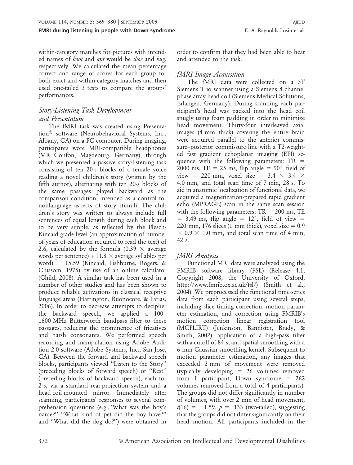within-category matches for pictures with intended names of *boot* and *ant* would be *shoe* and *bug*, respectively. We calculated the mean percentage correct and range of scores for each group for both exact and within-category matches and then used one-tailed  $t$  tests to compare the groups' performances.

# Story-Listening Task Development and Presentation

The fMRI task was created using Presentation<sup>®</sup> software (Neurobehavioral Systems, Inc., Albany, CA) on a PC computer. During imaging, participants wore MRI-compatible headphones (MR Confon, Magdeburg, Germany), through which we presented a passive story-listening task consisting of ten 20-s blocks of a female voice reading a novel children's story (written by the fifth author), alternating with ten 20-s blocks of the same passages played backward as the comparison condition, intended as a control for nonlanguage aspects of story stimuli. The children's story was written to always include full sentences of equal length during each block and to be very simple, as reflected by the Flesch-Kincaid grade level (an approximation of number of years of education required to read the text) of 2.6, calculated by the formula (0.39  $\times$  average words per sentence) +  $11.8 \times$  average syllables per word) - 15.59 (Kincaid, Fishburne, Rogers, & Chissom, 1975) by use of an online calculator (Child, 2008). A similar task has been used in a number of other studies and has been shown to produce reliable activations in classical receptive language areas (Harrington, Buonocore, & Farias, 2006). In order to decrease attempts to decipher the backward speech, we applied a 100– 1600 MHz Butterworth bandpass filter to these passages, reducing the prominence of fricatives and harsh consonants. We performed speech recording and manipulation using Adobe Audition 2.0 software (Adobe Systems, Inc., San Jose, CA). Between the forward and backward speech blocks, participants viewed ''Listen to the Story'' (preceding blocks of forward speech) or ''Rest'' (preceding blocks of backward speech), each for 2 s, via a standard rear-projection system and a head-coil-mounted mirror. Immediately after scanning, participants' responses to several comprehension questions (e.g.,''What was the boy's name?" "What kind of pet did the boy have?" and ''What did the dog do?'') were obtained in

order to confirm that they had been able to hear and attended to the task.

# fMRI Image Acquisition

The fMRI data were collected on a 3T Siemens Trio scanner using a Siemens 8 channel phase array head coil (Siemens Medical Solutions, Erlangen, Germany). During scanning each participant's head was packed into the head coil snugly using foam padding in order to minimize head movement. Thirty-four interleaved axial images (4 mm thick) covering the entire brain were acquired parallel to the anterior commissure–posterior commissure line with a T2-weighted fast gradient echoplanar imaging (EPI) sequence with the following parameters:  $TR =$ 2000 ms, TE = 25 ms, flip angle =  $90^{\circ}$ , field of view = 220 mm, voxel size =  $3.4 \times 3.4 \times$ 4.0 mm, and total scan time of 7 min, 28 s. To aid in anatomic localization of functional data, we acquired a magnetization-prepared rapid gradient echo (MPRAGE) scan in the same scan session with the following parameters:  $TR = 200$  ms, TE  $=$  3.49 ms, flip angle  $=$  12°, field of view  $=$ 220 mm, 176 slices (1 mm thick), voxel size  $= 0.9$  $\times$  0.9  $\times$  1.0 mm, and total scan time of 4 min, 42 s.

# fMRI Analysis

Functional MRI data were analyzed using the FMRIB software library (FSL) (Release 4.1, Copyright 2008, the University of Oxford, http://www.fmrib.ox.ac.uk/fsl/) (Smith et al., 2004). We preprocessed the functional time-series data from each participant using several steps, including slice timing correction, motion parameter estimation, and correction using FMRIB's motion correction linear registration tool (MCFLIRT) (Jenkinson, Bannister, Brady, & Smith, 2002), application of a high-pass filter with a cutoff of 84 s, and spatial smoothing with a 6 mm Gaussian smoothing kernel. Subsequent to motion parameter estimation, any images that exceeded 2 mm of movement were removed (typically developing  $= 26$  volumes removed from 1 participant, Down syndrome  $= 262$ volumes removed from a total of 4 participants). The groups did not differ significantly in number of volumes, with over 2 mm of head movement,  $t(16) = -1.59$ ,  $p = .133$  (two-tailed), suggesting that the groups did not differ significantly on their head motion. All participants included in the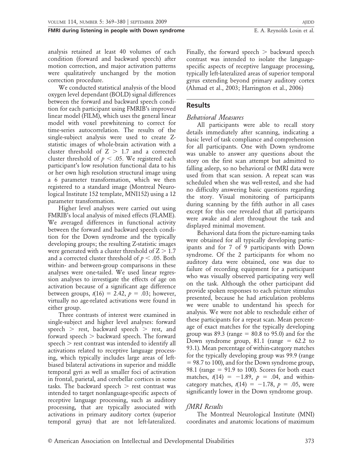analysis retained at least 40 volumes of each condition (forward and backward speech) after motion correction, and major activation patterns were qualitatively unchanged by the motion correction procedure.

We conducted statistical analysis of the blood oxygen level dependant (BOLD) signal differences between the forward and backward speech condition for each participant using FMRIB's improved linear model (FILM), which uses the general linear model with voxel prewhitening to correct for time-series autocorrelation. The results of the single-subject analysis were used to create Zstatistic images of whole-brain activation with a cluster threshold of  $Z > 1.7$  and a corrected cluster threshold of  $p < .05$ . We registered each participant's low resolution functional data to his or her own high resolution structural image using a 6 parameter transformation, which we then registered to a standard image (Montreal Neurological Institute 152 template, MNI152) using a 12 parameter transformation.

Higher level analyses were carried out using FMRIB's local analysis of mixed effects (FLAME). We averaged differences in functional activity between the forward and backward speech condition for the Down syndrome and the typically developing groups; the resulting Z-statistic images were generated with a cluster threshold of  $Z > 1.7$ and a corrected cluster threshold of  $p < .05$ . Both within- and between-group comparisons in these analyses were one-tailed. We used linear regression analyses to investigate the effects of age on activation because of a significant age difference between groups,  $t(16) = 2.42$ ,  $p = .03$ ; however, virtually no age-related activations were found in either group.

Three contrasts of interest were examined in single-subject and higher level analyses: forward speech  $>$  rest, backward speech  $>$  rest, and forward speech  $>$  backward speech. The forward speech  $>$  rest contrast was intended to identify all activations related to receptive language processing, which typically includes large areas of leftbiased bilateral activations in superior and middle temporal gyri as well as smaller foci of activation in frontal, parietal, and cerebellar cortices in some tasks. The backward speech  $>$  rest contrast was intended to target nonlanguage-specific aspects of receptive language processing, such as auditory processing, that are typically associated with activations in primary auditory cortex (superior temporal gyrus) that are not left-lateralized. Finally, the forward speech  $>$  backward speech contrast was intended to isolate the languagespecific aspects of receptive language processing, typically left-lateralized areas of superior temporal gyrus extending beyond primary auditory cortex (Ahmad et al., 2003; Harrington et al., 2006)

### Results

### Behavioral Measures

All participants were able to recall story details immediately after scanning, indicating a basic level of task compliance and comprehension for all participants. One with Down syndrome was unable to answer any questions about the story on the first scan attempt but admitted to falling asleep, so no behavioral or fMRI data were used from that scan session. A repeat scan was scheduled when she was well-rested, and she had no difficulty answering basic questions regarding the story. Visual monitoring of participants during scanning by the fifth author in all cases except for this one revealed that all participants were awake and alert throughout the task and displayed minimal movement.

Behavioral data from the picture-naming tasks were obtained for all typically developing participants and for 7 of 9 participants with Down syndrome. Of the 2 participants for whom no auditory data were obtained, one was due to failure of recording equipment for a participant who was visually observed participating very well on the task. Although the other participant did provide spoken responses to each picture stimulus presented, because he had articulation problems we were unable to understand his speech for analysis. We were not able to reschedule either of these participants for a repeat scan. Mean percentage of exact matches for the typically developing group was 89.3 (range  $= 80.8$  to 95.0) and for the Down syndrome group, 81.1 (range  $= 62.2$  to 93.1). Mean percentage of within-category matches for the typically developing group was 99.9 (range  $= 98.7$  to 100), and for the Down syndrome group, 98.1 (range  $= 91.9$  to 100). Scores for both exact matches,  $t(14) = -1.89$ ,  $p = .04$ , and withincategory matches,  $t(14) = -1.78$ ,  $p = .05$ , were significantly lower in the Down syndrome group.

# fMRI Results

The Montreal Neurological Institute (MNI) coordinates and anatomic locations of maximum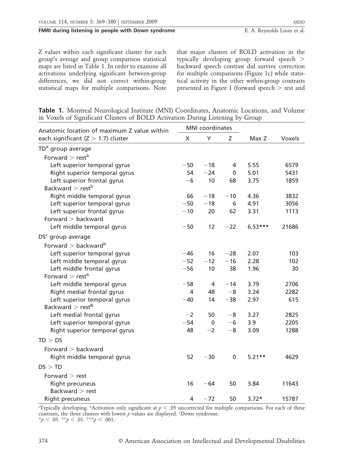Z values within each significant cluster for each group's average and group comparison statistical maps are listed in Table 1. In order to examine all activations underlying significant between-group differences, we did not correct within-group statistical maps for multiple comparisons. Note that major clusters of BOLD activation in the typically developing group forward speech . backward speech contrast did survive correction for multiple comparisons (Figure 1c) while statistical activity in the other within-group contrasts presented in Figure 1 (forward speech  $>$  rest and

|  | Table 1. Montreal Neurological Institute (MNI) Coordinates, Anatomic Locations, and Volume |  |  |  |
|--|--------------------------------------------------------------------------------------------|--|--|--|
|  | in Voxels of Significant Clusters of BOLD Activation During Listening by Group             |  |  |  |

| Anatomic location of maximum Z value within |                | <b>MNI</b> coordinates |             |           |        |
|---------------------------------------------|----------------|------------------------|-------------|-----------|--------|
| each significant $(Z > 1.7)$ cluster        | X              | Υ                      | Ζ           | Max Z     | Voxels |
| TD <sup>a</sup> group average               |                |                        |             |           |        |
| Forward $>$ rest <sup>b</sup>               |                |                        |             |           |        |
| Left superior temporal gyrus                | $-50$          | $-18$                  | 4           | 5.55      | 6579   |
| Right superior temporal gyrus               | 54             | $-24$                  | $\mathbf 0$ | 5.01      | 5431   |
| Left superior frontal gyrus                 | $-6$           | 10                     | 68          | 3.75      | 1859   |
| Backward $>$ rest <sup>b</sup>              |                |                        |             |           |        |
| Right middle temporal gyrus                 | 66             | $-18$                  | $-10$       | 4.36      | 3832   |
| Left superior temporal gyrus                | $-50$          | $-18$                  | 6           | 4.91      | 3056   |
| Left superior frontal gyrus                 | $-10$          | 20                     | 62          | 3.31      | 1113   |
| Forward $>$ backward                        |                |                        |             |           |        |
| Left middle temporal gyrus                  | $-50$          | 12                     | $-22$       | $6.53***$ | 21686  |
| DS <sup>c</sup> group average               |                |                        |             |           |        |
| Forward $>$ backward <sup>b</sup>           |                |                        |             |           |        |
| Left superior temporal gyrus                | $-46$          | 16                     | $-28$       | 2.07      | 103    |
| Left middle temporal gyrus                  | $-52$          | $-12$                  | $-16$       | 2.28      | 102    |
| Left middle frontal gyrus                   | $-56$          | 10                     | 38          | 1.96      | 30     |
| Forward $>$ rest <sup>b</sup>               |                |                        |             |           |        |
| Left middle temporal gyrus                  | $-58$          | 4                      | $-14$       | 3.79      | 2706   |
| Right medial frontal gyrus                  | 4              | 48                     | $-8$        | 3.24      | 2282   |
| Left superior temporal gyrus                | $-40$          | 14                     | $-38$       | 2.97      | 615    |
| Backward $>$ rest <sup>b</sup>              |                |                        |             |           |        |
| Left medial frontal gyrus                   | $-2$           | 50                     | $-8$        | 3.27      | 2825   |
| Left superior temporal gyrus                | $-54$          | $\mathbf 0$            | $-6$        | 3.9       | 2205   |
| Right superior temporal gyrus               | 48             | $-2$                   | $-8$        | 3.09      | 1288   |
| TD > DS                                     |                |                        |             |           |        |
| Forward $>$ backward                        |                |                        |             |           |        |
| Right middle temporal gyrus                 | 52             | $-30$                  | $\pmb{0}$   | $5.21**$  | 4629   |
| DS > TD                                     |                |                        |             |           |        |
| Forward $>$ rest                            |                |                        |             |           |        |
| Right precuneus                             | 16             | $-64$                  | 50          | 3.84      | 11643  |
| Backward $>$ rest                           |                |                        |             |           |        |
| Right precuneus                             | $\overline{4}$ | $-72$                  | 50          | $3.72*$   | 15787  |

"Typically developing. "Activation only significant at  $p < .05$  uncorrected for multiple comparisons. For each of these contrasts, the three clusters with lowest  $p$  values are displayed. *'Down syndrome.* \*p < .05. \*\*p < .01. \*\*\*p < .001.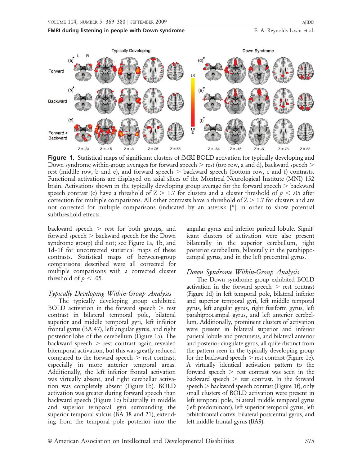

**Figure 1.** Statistical maps of significant clusters of fMRI BOLD activation for typically developing and Down syndrome within-group averages for forward speech  $>$  rest (top row, a and d), backward speech  $>$ rest (middle row, b and e), and forward speech  $>$  backward speech (bottom row, c and f) contrasts. Functional activations are displayed on axial slices of the Montreal Neurological Institute (MNI) 152 brain. Activations shown in the typically developing group average for the forward speech  $>$  backward speech contrast (c) have a threshold of  $Z > 1.7$  for clusters and a cluster threshold of  $p < .05$  after correction for multiple comparisons. All other contrasts have a threshold of  $Z > 1.7$  for clusters and are not corrected for multiple comparisons (indicated by an asterisk [\*] in order to show potential subthreshold effects.

backward speech  $>$  rest for both groups, and forward speech  $>$  backward speech for the Down syndrome group) did not; see Figure 1a, 1b, and 1d–1f for uncorrected statistical maps of these contrasts. Statistical maps of between-group comparisons described were all corrected for multiple comparisons with a corrected cluster threshold of  $p < .05$ .

### Typically Developing Within-Group Analysis

The typically developing group exhibited BOLD activation in the forward speech  $\ge$  rest contrast in bilateral temporal pole, bilateral superior and middle temporal gyri, left inferior frontal gyrus (BA 47), left angular gyrus, and right posterior lobe of the cerebellum (Figure 1a). The backward speech  $>$  rest contrast again revealed bitemporal activation, but this was greatly reduced compared to the forward speech  $>$  rest contrast, especially in more anterior temporal areas. Additionally, the left inferior frontal activation was virtually absent, and right cerebellar activation was completely absent (Figure 1b). BOLD activation was greater during forward speech than backward speech (Figure 1c) bilaterally in middle and superior temporal gyri surrounding the superior temporal sulcus (BA 38 and 21), extending from the temporal pole posterior into the angular gyrus and inferior parietal lobule. Significant clusters of activation were also present bilaterally in the superior cerebellum, right posterior cerebellum, bilaterally in the parahippocampal gyrus, and in the left precentral gyrus.

### Down Syndrome Within-Group Analysis

The Down syndrome group exhibited BOLD activation in the forward speech  $>$  rest contrast (Figure 1d) in left temporal pole, bilateral inferior and superior temporal gyri, left middle temporal gyrus, left angular gyrus, right fusiform gyrus, left parahippocampal gyrus, and left anterior cerebellum. Additionally, prominent clusters of activation were present in bilateral superior and inferior parietal lobule and precuneus, and bilateral anterior and posterior cingulate gyrus, all quite distinct from the pattern seen in the typically developing group for the backward speech  $>$  rest contrast (Figure 1e). A virtually identical activation pattern to the forward speech  $>$  rest contrast was seen in the backward speech  $>$  rest contrast. In the forward speech  $>$  backward speech contrast (Figure 1f), only small clusters of BOLD activation were present in left temporal pole, bilateral middle temporal gyrus (left predominant), left superior temporal gyrus, left orbitofrontal cortex, bilateral postcentral gyrus, and left middle frontal gyrus (BA9).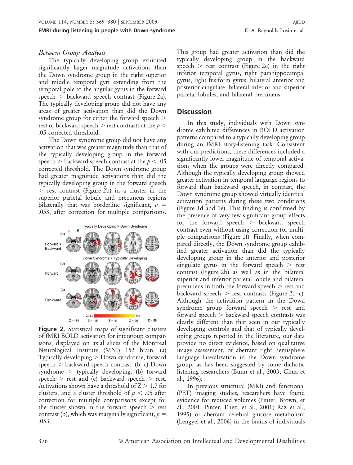### Between-Group Analysis

The typically developing group exhibited significantly larger magnitude activations than the Down syndrome group in the right superior and middle temporal gyri extending from the temporal pole to the angular gyrus in the forward speech  $>$  backward speech contrast (Figure 2a). The typically developing group did not have any areas of greater activation than did the Down syndrome group for either the forward speech  $>$ rest or backward speech  $>$  rest contrasts at the  $p$   $<$ .05 corrected threshold.

The Down syndrome group did not have any activation that was greater magnitude than that of the typically developing group in the forward speech  $>$  backward speech contrast at the  $p < .05$ corrected threshold. The Down syndrome group had greater magnitude activations than did the typically developing group in the forward speech  $>$  rest contrast (Figure 2b) in a cluster in the superior parietal lobule and precuneus regions bilaterally that was borderline significant,  $p =$ .053, after correction for multiple comparisons.



Figure 2. Statistical maps of significant clusters of fMRI BOLD activation for intergroup comparisons, displayed on axial slices of the Montreal Neurological Institute (MNI) 152 brain. (a) Typically developing  $>$  Down syndrome, forward speech  $>$  backward speech contrast. (b, c) Down syndrome  $>$  typically developing, (b) forward speech  $>$  rest and (c) backward speech  $>$  rest. Activations shown have a threshold of  $Z > 1.7$  for clusters, and a cluster threshold of  $p < .05$  after correction for multiple comparisons except for the cluster shown in the forward speech  $>$  rest contrast (b), which was marginally significant,  $p =$ .053.

This group had greater activation than did the typically developing group in the backward speech  $>$  rest contrast (Figure 2c) in the right inferior temporal gyrus, right parahippocampal gyrus, right fusiform gyrus, bilateral anterior and posterior cingulate, bilateral inferior and superior parietal lobules, and bilateral precuneus.

### **Discussion**

In this study, individuals with Down syndrome exhibited differences in BOLD activation patterns compared to a typically developing group during an fMRI story-listening task. Consistent with our predictions, these differences included a significantly lower magnitude of temporal activations when the groups were directly compared. Although the typically developing group showed greater activation in temporal language regions to forward than backward speech, in contrast, the Down syndrome group showed virtually identical activation patterns during these two conditions (Figure 1d and 1e). This finding is confirmed by the presence of very few significant group effects for the forward speech  $>$  backward speech contrast even without using correction for multiple comparisons (Figure 1f). Finally, when compared directly, the Down syndrome group exhibited greater activation than did the typically developing group in the anterior and posterior cingulate gyrus in the forward speech  $>$  rest contrast (Figure 2b) as well as in the bilateral superior and inferior parietal lobule and bilateral precuneus in both the forward speech  $>$  rest and backward speech  $>$  rest contrasts (Figure 2b–c). Although the activation pattern in the Down syndrome group forward speech  $>$  rest and forward speech  $>$  backward speech contrasts was clearly different than that seen in our typically developing controls and that of typically developing groups reported in the literature, our data provide no direct evidence, based on qualitative image assessment, of aberrant right hemisphere language lateralization in the Down syndrome group, as has been suggested by some dichotic listening researchers (Bunn et al., 2003; Chua et al., 1996).

In previous structural (MRI) and functional (PET) imaging studies, researchers have found evidence for reduced volumes (Pinter, Brown, et al., 2001; Pinter, Eliez, et al., 2001; Raz et al., 1995) or aberrant cerebral glucose metabolism (Lengyel et al., 2006) in the brains of individuals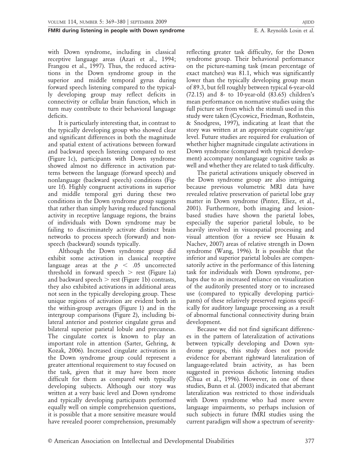with Down syndrome, including in classical receptive language areas (Azari et al., 1994; Frangou et al., 1997). Thus, the reduced activations in the Down syndrome group in the superior and middle temporal gyrus during forward speech listening compared to the typically developing group may reflect deficits in connectivity or cellular brain function, which in turn may contribute to their behavioral language deficits.

It is particularly interesting that, in contrast to the typically developing group who showed clear and significant differences in both the magnitude and spatial extent of activations between forward and backward speech listening compared to rest (Figure 1c), participants with Down syndrome showed almost no difference in activation patterns between the language (forward speech) and nonlanguage (backward speech) conditions (Figure 1f). Highly congruent activations in superior and middle temporal gyri during these two conditions in the Down syndrome group suggests that rather than simply having reduced functional activity in receptive language regions, the brains of individuals with Down syndrome may be failing to discriminately activate distinct brain networks to process speech (forward) and nonspeech (backward) sounds typically.

Although the Down syndrome group did exhibit some activation in classical receptive language areas at the  $p < .05$  uncorrected threshold in forward speech  $>$  rest (Figure 1a) and backward speech  $>$  rest (Figure 1b) contrasts, they also exhibited activations in additional areas not seen in the typically developing group. These unique regions of activation are evident both in the within-group averages (Figure 1) and in the intergroup comparisons (Figure 2), including bilateral anterior and posterior cingulate gyrus and bilateral superior parietal lobule and precuneus. The cingulate cortex is known to play an important role in attention (Sarter, Gehring, & Kozak, 2006). Increased cingulate activations in the Down syndrome group could represent a greater attentional requirement to stay focused on the task, given that it may have been more difficult for them as compared with typically developing subjects. Although our story was written at a very basic level and Down syndrome and typically developing participants performed equally well on simple comprehension questions, it is possible that a more sensitive measure would have revealed poorer comprehension, presumably

reflecting greater task difficulty, for the Down syndrome group. Their behavioral performance on the picture-naming task (mean percentage of exact matches) was 81.1, which was significantly lower than the typically developing group mean of 89.3, but fell roughly between typical 6-year-old (72.15) and 8- to 10-year-old (83.65) children's mean performance on normative studies using the full picture set from which the stimuli used in this study were taken (Cycowicz, Friedman, Rothstein, & Snodgress, 1997), indicating at least that the story was written at an appropriate cognitive/age level. Future studies are required for evaluation of whether higher magnitude cingulate activations in Down syndrome (compared with typical development) accompany nonlanguage cognitive tasks as well and whether they are related to task difficulty.

The parietal activations uniquely observed in the Down syndrome group are also intriguing because previous volumetric MRI data have revealed relative preservation of parietal lobe gray matter in Down syndrome (Pinter, Eliez, et al., 2001). Furthermore, both imaging and lesionbased studies have shown the parietal lobes, especially the superior parietal lobule, to be heavily involved in visuospatial processing and visual attention (for a review see Husain & Nachev, 2007) areas of relative strength in Down syndrome (Wang, 1996). It is possible that the inferior and superior parietal lobules are compensatorily active in the performance of this listening task for individuals with Down syndrome, perhaps due to an increased reliance on visualization of the auditorily presented story or to increased use (compared to typically developing participants) of these relatively preserved regions specifically for auditory language processing as a result of abnormal functional connectivity during brain development.

Because we did not find significant differences in the pattern of lateralization of activations between typically developing and Down syndrome groups, this study does not provide evidence for aberrant rightward lateralization of language-related brain activity, as has been suggested in previous dichotic listening studies (Chua et al., 1996). However, in one of these studies, Bunn et al. (2003) indicated that aberrant lateralization was restricted to those individuals with Down syndrome who had more severe language impairments, so perhaps inclusion of such subjects in future fMRI studies using the current paradigm will show a spectrum of severity-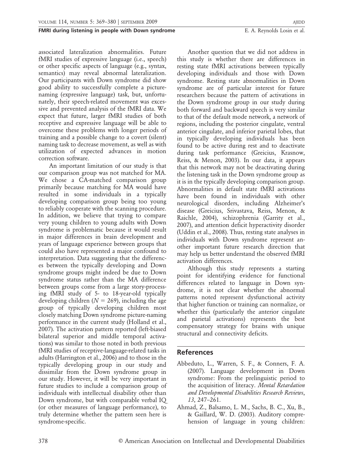associated lateralization abnormalities. Future fMRI studies of expressive language (i.e., speech) or other specific aspects of language (e.g., syntax, semantics) may reveal abnormal lateralization. Our participants with Down syndrome did show good ability to successfully complete a picturenaming (expressive language) task, but, unfortunately, their speech-related movement was excessive and prevented analysis of the fMRI data. We expect that future, larger fMRI studies of both receptive and expressive language will be able to overcome these problems with longer periods of training and a possible change to a covert (silent) naming task to decrease movement, as well as with utilization of expected advances in motion correction software.

An important limitation of our study is that our comparison group was not matched for MA. We chose a CA-matched comparison group primarily because matching for MA would have resulted in some individuals in a typically developing comparison group being too young to reliably cooperate with the scanning procedure. In addition, we believe that trying to compare very young children to young adults with Down syndrome is problematic because it would result in major differences in brain development and years of language experience between groups that could also have represented a major confound to interpretation. Data suggesting that the differences between the typically developing and Down syndrome groups might indeed be due to Down syndrome status rather than the MA difference between groups come from a large story-processing fMRI study of 5- to 18-year-old typically developing children ( $N = 269$ ), including the age group of typically developing children most closely matching Down syndrome picture-naming performance in the current study (Holland et al., 2007). The activation pattern reported (left-biased bilateral superior and middle temporal activations) was similar to those noted in both previous fMRI studies of receptive-language-related tasks in adults (Harrington et al., 2006) and to those in the typically developing group in our study and dissimilar from the Down syndrome group in our study. However, it will be very important in future studies to include a comparison group of individuals with intellectual disability other than Down syndrome, but with comparable verbal IQ (or other measures of language performance), to truly determine whether the pattern seen here is syndrome-specific.

Another question that we did not address in this study is whether there are differences in resting state fMRI activations between typically developing individuals and those with Down syndrome. Resting state abnormalities in Down syndrome are of particular interest for future researchers because the pattern of activations in the Down syndrome group in our study during both forward and backward speech is very similar to that of the default mode network, a network of regions, including the posterior cingulate, ventral anterior cingulate, and inferior parietal lobes, that in typically developing individuals has been found to be active during rest and to deactivate during task performance (Greicius, Krasnow, Reiss, & Menon, 2003). In our data, it appears that this network may not be deactivating during the listening task in the Down syndrome group as it is in the typically developing comparison group. Abnormalities in default state fMRI activations have been found in individuals with other neurological disorders, including Alzheimer's disease (Greicius, Srivastava, Reiss, Menon, & Raichle, 2004), schizophrenia (Garrity et al., 2007), and attention deficit hyperactivity disorder (Uddin et al., 2008). Thus, resting state analyses in individuals with Down syndrome represent another important future research direction that may help us better understand the observed fMRI activation differences.

Although this study represents a starting point for identifying evidence for functional differences related to language in Down syndrome, it is not clear whether the abnormal patterns noted represent dysfunctional activity that higher function or training can normalize, or whether this (particularly the anterior cingulate and parietal activations) represents the best compensatory strategy for brains with unique structural and connectivity deficits.

# References

- Abbeduto, L., Warren, S. F., & Conners, F. A. (2007). Language development in Down syndrome: From the prelinguistic period to the acquisition of literacy. Mental Retardation and Developmental Disabilities Research Reviews, 13, 247–261.
- Ahmad, Z., Balsamo, L. M., Sachs, B. C., Xu, B., & Gaillard, W. D. (2003). Auditory comprehension of language in young children: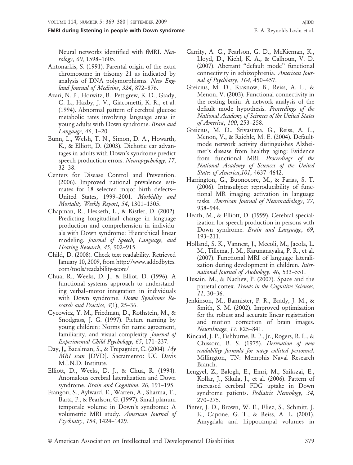Neural networks identified with fMRI. Neurology, 60, 1598–1605.

- Antonarkis, S. (1991). Parental origin of the extra chromosome in trisomy 21 as indicated by analysis of DNA polymorphisms. New England Journal of Medicine, 324, 872–876.
- Azari, N. P., Horwitz, B., Pettigrew, K. D., Grady, C. L., Haxby, J. V., Giacometti, K. R., et al. (1994). Abnormal pattern of cerebral glucose metabolic rates involving language areas in young adults with Down syndrome. Brain and Language, 46, 1–20.
- Bunn, L., Welsh, T. N., Simon, D. A., Howarth, K., & Elliott, D. (2003). Dichotic ear advantages in adults with Down's syndrome predict speech production errors. Neuropsychology, 17, 32–38.
- Centers for Disease Control and Prevention. (2006). Improved national prevalence estimates for 18 selected major birth defects— United States, 1999–2001. Morbidity and Mortality Weekly Report, 54, 1301–1305.
- Chapman, R., Hesketh, L., & Kistler, D. (2002). Predicting longitudinal change in language production and comprehension in individuals with Down syndrome: Hierarchical linear modeling. Journal of Speech, Language, and Hearing Research, 45, 902–915.
- Child, D. (2008). Check text readability. Retrieved January 10, 2009, from http://www.addedbytes. com/tools/readability-score/
- Chua, R., Weeks, D. J., & Elliot, D. (1996). A functional systems approach to understanding verbal–motor integration in individuals with Down syndrome. Down Syndrome Research and Practice, 4(1), 25–36.
- Cycowicz, Y. M., Friedman, D., Rothstein, M., & Snodgrass, J. G. (1997). Picture naming by young children: Norms for name agreement, familiarity, and visual complexity. Journal of Experimental Child Psychology, 65, 171–237.
- Day, J,, Bacalman, S., & Trepagnier, C. (2004). My MRI scan [DVD]. Sacramento: UC Davis M.I.N.D. Institute.
- Elliott, D., Weeks, D. J., & Chua, R. (1994). Anomalous cerebral lateralization and Down syndrome. Brain and Cognition, 26, 191-195.
- Frangou, S., Aylward, E., Warren, A., Sharma, T., Barta, P., & Pearlson, G. (1997). Small planum temporale volume in Down's syndrome: A volumetric MRI study. American Journal of Psychiatry, 154, 1424–1429.
- Garrity, A. G., Pearlson, G. D., McKiernan, K., Lloyd, D., Kiehl, K. A., & Calhoun, V. D. (2007). Aberrant ''default mode'' functional connectivity in schizophrenia. American Journal of Psychiatry, 164, 450–457.
- Greicius, M. D., Krasnow, B., Reiss, A. L., & Menon, V. (2003). Functional connectivity in the resting brain: A network analysis of the default mode hypothesis. Proceedings of the National Academy of Sciences of the United States of America, 100, 253–258.
- Greicius, M. D., Srivastava, G., Reiss, A. L., Menon, V., & Raichle, M. E. (2004). Defaultmode network activity distinguishes Alzheimer's disease from healthy aging: Evidence from functional MRI. Proceedings of the National Academy of Sciences of the United States of America,101, 4637–4642.
- Harrington, G., Buonocore, M., & Farias, S. T. (2006). Intrasubject reproducibility of functional MR imaging activation in language tasks. American Journal of Neuroradiology, 27, 938–944.
- Heath, M., & Elliott, D. (1999). Cerebral specialization for speech production in persons with Down syndrome. Brain and Language, 69, 193–211.
- Holland, S. K., Vannest, J., Mecoli, M., Jacola, L. M., Tillema, J. M., Karunanayaka, P. R., et al. (2007). Functional MRI of language lateralization during development in children. International Journal of Audiology, 46, 533–551.
- Husain, M., & Nachev, P. (2007). Space and the parietal cortex. Trends in the Cognitive Sciences, 11, 30–36.
- Jenkinson, M., Bannister, P. R., Brady, J. M., & Smith, S. M. (2002). Improved optimisation for the robust and accurate linear registration and motion correction of brain images. NeuroImage, 17, 825–841.
- Kincaid, J. P., Fishburne, R. P., Jr., Rogers, R. L., & Chissom, B. S. (1975). Derivation of new readability formula for navy enlisted personnel. Millington, TN: Memphis Naval Research Branch.
- Lengyel, Z., Balogh, E., Emri, M., Szikszai, E., Kollar, J., Sikula, J., et al. (2006). Pattern of increased cerebral FDG uptake in Down syndrome patients. Pediatric Neurology, 34, 270–275.
- Pinter, J. D., Brown, W. E., Eliez, S., Schmitt, J. E., Capone, G. T., & Reiss, A. L. (2001). Amygdala and hippocampal volumes in